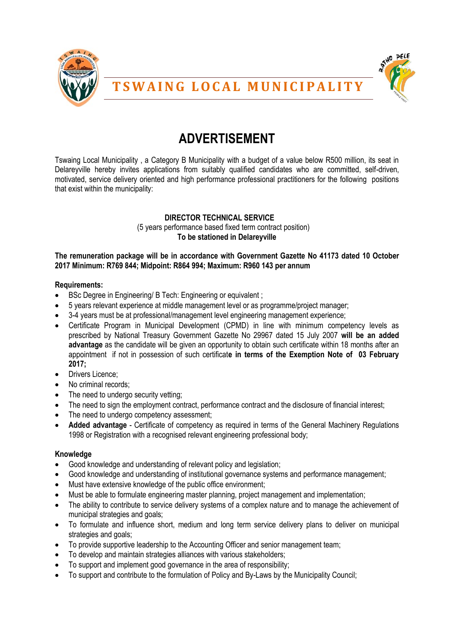



## **T S W A I N G L O C A L M U N I C I P A L I T Y**

# **ADVERTISEMENT**

Tswaing Local Municipality , a Category B Municipality with a budget of a value below R500 million, its seat in Delareyville hereby invites applications from suitably qualified candidates who are committed, self-driven, motivated, service delivery oriented and high performance professional practitioners for the following positions that exist within the municipality:

### **DIRECTOR TECHNICAL SERVICE** (5 years performance based fixed term contract position) **To be stationed in Delareyville**

#### **The remuneration package will be in accordance with Government Gazette No 41173 dated 10 October 2017 Minimum: R769 844; Midpoint: R864 994; Maximum: R960 143 per annum**

#### **Requirements:**

- **BSc Degree in Engineering/ B Tech: Engineering or equivalent ;**
- 5 years relevant experience at middle management level or as programme/project manager;
- 3-4 years must be at professional/management level engineering management experience;
- Certificate Program in Municipal Development (CPMD) in line with minimum competency levels as prescribed by National Treasury Government Gazette No 29967 dated 15 July 2007 **will be an added advantage** as the candidate will be given an opportunity to obtain such certificate within 18 months after an appointment if not in possession of such certificat**e in terms of the Exemption Note of 03 February 2017;**
- Drivers Licence;
- No criminal records;
- The need to undergo security vetting;
- The need to sign the employment contract, performance contract and the disclosure of financial interest;
- The need to undergo competency assessment;
- **Added advantage** Certificate of competency as required in terms of the General Machinery Regulations 1998 or Registration with a recognised relevant engineering professional body;

#### **Knowledge**

- Good knowledge and understanding of relevant policy and legislation;
- Good knowledge and understanding of institutional governance systems and performance management;
- Must have extensive knowledge of the public office environment;
- Must be able to formulate engineering master planning, project management and implementation;
- The ability to contribute to service delivery systems of a complex nature and to manage the achievement of municipal strategies and goals;
- To formulate and influence short, medium and long term service delivery plans to deliver on municipal strategies and goals;
- To provide supportive leadership to the Accounting Officer and senior management team;
- To develop and maintain strategies alliances with various stakeholders;
- To support and implement good governance in the area of responsibility;
- To support and contribute to the formulation of Policy and By-Laws by the Municipality Council;